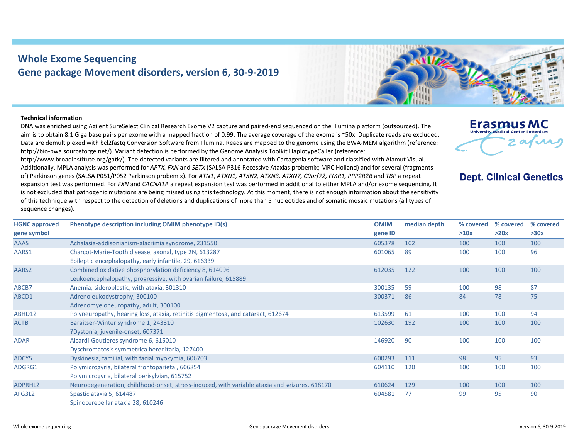## **Whole Exome Sequencing Gene package Movement disorders, version 6, 30‐9‐2019**



## **Technical information**

DNA was enriched using Agilent SureSelect Clinical Research Exome V2 capture and paired‐end sequenced on the Illumina platform (outsourced). The aim is to obtain 8.1 Giga base pairs per exome with a mapped fraction of 0.99. The average coverage of the exome is ~50x. Duplicate reads are excluded. Data are demultiplexed with bcl2fastg Conversion Software from Illumina. Reads are mapped to the genome using the BWA-MEM algorithm (reference: http://bio-bwa.sourceforge.net/). Variant detection is performed by the Genome Analysis Toolkit HaplotypeCaller (reference:

http://www.broadinstitute.org/gatk/). The detected variants are filtered and annotated with Cartagenia software and classified with Alamut Visual. Additionally, MPLA analysis was performed for *APTX, FXN* and *SETX* (SALSA P316 Recessive Ataxias probemix; MRC Holland) and for several (fragments of) Parkinson genes (SALSA P051/P052 Parkinson probemix). For *ATN1*, *ATXN1, ATXN2, ATXN3, ATXN7, C9orf72, FMR1, PPP2R2B* and *TBP* a repeat expansion test was performed. For *FXN* and *CACNA1A* a repeat expansion test was performed in additional to either MPLA and/or exome sequencing. It is not excluded that pathogenic mutations are being missed using this technology. At this moment, there is not enough information about the sensitivity of this technique with respect to the detection of deletions and duplications of more than 5 nucleotides and of somatic mosaic mutations (all types of sequence changes).



## **Dept. Clinical Genetics**

| <b>HGNC approved</b> | Phenotype description including OMIM phenotype ID(s)                                          | <b>OMIM</b> | median depth | % covered | % covered | % covered |
|----------------------|-----------------------------------------------------------------------------------------------|-------------|--------------|-----------|-----------|-----------|
| gene symbol          |                                                                                               | gene ID     |              | >10x      | >20x      | >30x      |
| <b>AAAS</b>          | Achalasia-addisonianism-alacrimia syndrome, 231550                                            | 605378      | 102          | 100       | 100       | 100       |
| AARS1                | Charcot-Marie-Tooth disease, axonal, type 2N, 613287                                          | 601065      | 89           | 100       | 100       | 96        |
|                      | Epileptic encephalopathy, early infantile, 29, 616339                                         |             |              |           |           |           |
| AARS2                | Combined oxidative phosphorylation deficiency 8, 614096                                       | 612035      | 122          | 100       | 100       | 100       |
|                      | Leukoencephalopathy, progressive, with ovarian failure, 615889                                |             |              |           |           |           |
| ABCB7                | Anemia, sideroblastic, with ataxia, 301310                                                    | 300135      | 59           | 100       | 98        | 87        |
| ABCD1                | Adrenoleukodystrophy, 300100                                                                  | 300371      | 86           | 84        | 78        | 75        |
|                      | Adrenomyeloneuropathy, adult, 300100                                                          |             |              |           |           |           |
| ABHD12               | Polyneuropathy, hearing loss, ataxia, retinitis pigmentosa, and cataract, 612674              | 613599      | 61           | 100       | 100       | 94        |
| <b>ACTB</b>          | Baraitser-Winter syndrome 1, 243310                                                           | 102630      | 192          | 100       | 100       | 100       |
|                      | ?Dystonia, juvenile-onset, 607371                                                             |             |              |           |           |           |
| <b>ADAR</b>          | Aicardi-Goutieres syndrome 6, 615010                                                          | 146920      | 90           | 100       | 100       | 100       |
|                      | Dyschromatosis symmetrica hereditaria, 127400                                                 |             |              |           |           |           |
| ADCY5                | Dyskinesia, familial, with facial myokymia, 606703                                            | 600293      | 111          | 98        | 95        | 93        |
| ADGRG1               | Polymicrogyria, bilateral frontoparietal, 606854                                              | 604110      | 120          | 100       | 100       | 100       |
|                      | Polymicrogyria, bilateral perisylvian, 615752                                                 |             |              |           |           |           |
| ADPRHL2              | Neurodegeneration, childhood-onset, stress-induced, with variable ataxia and seizures, 618170 | 610624      | 129          | 100       | 100       | 100       |
| AFG3L2               | Spastic ataxia 5, 614487                                                                      | 604581      | 77           | 99        | 95        | 90        |
|                      | Spinocerebellar ataxia 28, 610246                                                             |             |              |           |           |           |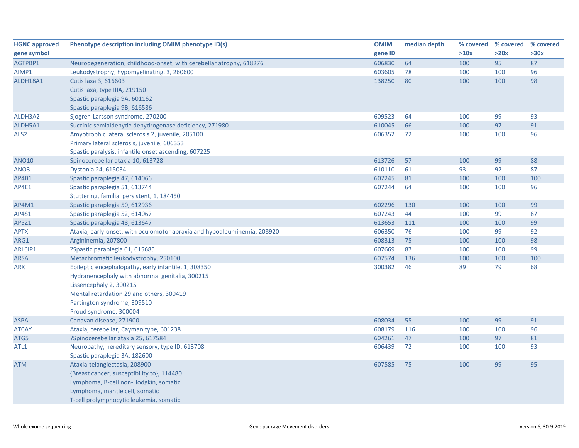| <b>HGNC approved</b> | Phenotype description including OMIM phenotype ID(s)                     | <b>OMIM</b> | median depth | % covered | % covered | % covered |
|----------------------|--------------------------------------------------------------------------|-------------|--------------|-----------|-----------|-----------|
| gene symbol          |                                                                          | gene ID     |              | >10x      | >20x      | >30x      |
| AGTPBP1              | Neurodegeneration, childhood-onset, with cerebellar atrophy, 618276      | 606830      | 64           | 100       | 95        | 87        |
| AIMP1                | Leukodystrophy, hypomyelinating, 3, 260600                               | 603605      | 78           | 100       | 100       | 96        |
| ALDH18A1             | Cutis laxa 3, 616603                                                     | 138250      | 80           | 100       | 100       | 98        |
|                      | Cutis laxa, type IIIA, 219150                                            |             |              |           |           |           |
|                      | Spastic paraplegia 9A, 601162                                            |             |              |           |           |           |
|                      | Spastic paraplegia 9B, 616586                                            |             |              |           |           |           |
| ALDH3A2              | Sjogren-Larsson syndrome, 270200                                         | 609523      | 64           | 100       | 99        | 93        |
| ALDH5A1              | Succinic semialdehyde dehydrogenase deficiency, 271980                   | 610045      | 66           | 100       | 97        | 91        |
| ALS <sub>2</sub>     | Amyotrophic lateral sclerosis 2, juvenile, 205100                        | 606352      | 72           | 100       | 100       | 96        |
|                      | Primary lateral sclerosis, juvenile, 606353                              |             |              |           |           |           |
|                      | Spastic paralysis, infantile onset ascending, 607225                     |             |              |           |           |           |
| <b>ANO10</b>         | Spinocerebellar ataxia 10, 613728                                        | 613726      | 57           | 100       | 99        | 88        |
| ANO3                 | Dystonia 24, 615034                                                      | 610110      | 61           | 93        | 92        | 87        |
| AP4B1                | Spastic paraplegia 47, 614066                                            | 607245      | 81           | 100       | 100       | 100       |
| AP4E1                | Spastic paraplegia 51, 613744                                            | 607244      | 64           | 100       | 100       | 96        |
|                      | Stuttering, familial persistent, 1, 184450                               |             |              |           |           |           |
| AP4M1                | Spastic paraplegia 50, 612936                                            | 602296      | 130          | 100       | 100       | 99        |
| AP4S1                | Spastic paraplegia 52, 614067                                            | 607243      | 44           | 100       | 99        | 87        |
| AP5Z1                | Spastic paraplegia 48, 613647                                            | 613653      | 111          | 100       | 100       | 99        |
| <b>APTX</b>          | Ataxia, early-onset, with oculomotor apraxia and hypoalbuminemia, 208920 | 606350      | 76           | 100       | 99        | 92        |
| ARG1                 | Argininemia, 207800                                                      | 608313      | 75           | 100       | 100       | 98        |
| ARL6IP1              | ?Spastic paraplegia 61, 615685                                           | 607669      | 87           | 100       | 100       | 99        |
| <b>ARSA</b>          | Metachromatic leukodystrophy, 250100                                     | 607574      | 136          | 100       | 100       | 100       |
| <b>ARX</b>           | Epileptic encephalopathy, early infantile, 1, 308350                     | 300382      | 46           | 89        | 79        | 68        |
|                      | Hydranencephaly with abnormal genitalia, 300215                          |             |              |           |           |           |
|                      | Lissencephaly 2, 300215                                                  |             |              |           |           |           |
|                      | Mental retardation 29 and others, 300419                                 |             |              |           |           |           |
|                      | Partington syndrome, 309510                                              |             |              |           |           |           |
|                      | Proud syndrome, 300004                                                   |             |              |           |           |           |
| <b>ASPA</b>          | Canavan disease, 271900                                                  | 608034      | 55           | 100       | 99        | 91        |
| <b>ATCAY</b>         | Ataxia, cerebellar, Cayman type, 601238                                  | 608179      | 116          | 100       | 100       | 96        |
| ATG5                 | ?Spinocerebellar ataxia 25, 617584                                       | 604261      | 47           | 100       | 97        | 81        |
| ATL1                 | Neuropathy, hereditary sensory, type ID, 613708                          | 606439      | 72           | 100       | 100       | 93        |
|                      | Spastic paraplegia 3A, 182600                                            |             |              |           |           |           |
| ATM                  | Ataxia-telangiectasia, 208900                                            | 607585      | 75           | 100       | 99        | 95        |
|                      | {Breast cancer, susceptibility to}, 114480                               |             |              |           |           |           |
|                      | Lymphoma, B-cell non-Hodgkin, somatic                                    |             |              |           |           |           |
|                      | Lymphoma, mantle cell, somatic                                           |             |              |           |           |           |
|                      | T-cell prolymphocytic leukemia, somatic                                  |             |              |           |           |           |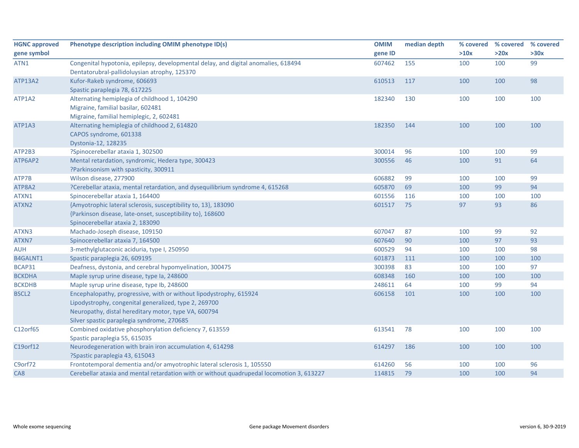| <b>HGNC approved</b> | Phenotype description including OMIM phenotype ID(s)                                                                                                                                                                              | <b>OMIM</b> | median depth | % covered | % covered % covered |      |
|----------------------|-----------------------------------------------------------------------------------------------------------------------------------------------------------------------------------------------------------------------------------|-------------|--------------|-----------|---------------------|------|
| gene symbol          |                                                                                                                                                                                                                                   | gene ID     |              | >10x      | >20x                | >30x |
| ATN1                 | Congenital hypotonia, epilepsy, developmental delay, and digital anomalies, 618494<br>Dentatorubral-pallidoluysian atrophy, 125370                                                                                                | 607462      | 155          | 100       | 100                 | 99   |
| <b>ATP13A2</b>       | Kufor-Rakeb syndrome, 606693<br>Spastic paraplegia 78, 617225                                                                                                                                                                     | 610513      | 117          | 100       | 100                 | 98   |
| ATP1A2               | Alternating hemiplegia of childhood 1, 104290<br>Migraine, familial basilar, 602481<br>Migraine, familial hemiplegic, 2, 602481                                                                                                   | 182340      | 130          | 100       | 100                 | 100  |
| ATP1A3               | Alternating hemiplegia of childhood 2, 614820<br>CAPOS syndrome, 601338<br>Dystonia-12, 128235                                                                                                                                    | 182350      | 144          | 100       | 100                 | 100  |
| ATP2B3               | ?Spinocerebellar ataxia 1, 302500                                                                                                                                                                                                 | 300014      | 96           | 100       | 100                 | 99   |
| ATP6AP2              | Mental retardation, syndromic, Hedera type, 300423<br>?Parkinsonism with spasticity, 300911                                                                                                                                       | 300556      | 46           | 100       | 91                  | 64   |
| ATP7B                | Wilson disease, 277900                                                                                                                                                                                                            | 606882      | 99           | 100       | 100                 | 99   |
| ATP8A2               | ?Cerebellar ataxia, mental retardation, and dysequilibrium syndrome 4, 615268                                                                                                                                                     | 605870      | 69           | 100       | 99                  | 94   |
| ATXN1                | Spinocerebellar ataxia 1, 164400                                                                                                                                                                                                  | 601556      | 116          | 100       | 100                 | 100  |
| ATXN2                | {Amyotrophic lateral sclerosis, susceptibility to, 13}, 183090<br>{Parkinson disease, late-onset, susceptibility to}, 168600<br>Spinocerebellar ataxia 2, 183090                                                                  | 601517      | 75           | 97        | 93                  | 86   |
| ATXN3                | Machado-Joseph disease, 109150                                                                                                                                                                                                    | 607047      | 87           | 100       | 99                  | 92   |
| ATXN7                | Spinocerebellar ataxia 7, 164500                                                                                                                                                                                                  | 607640      | 90           | 100       | 97                  | 93   |
| <b>AUH</b>           | 3-methylglutaconic aciduria, type I, 250950                                                                                                                                                                                       | 600529      | 94           | 100       | 100                 | 98   |
| B4GALNT1             | Spastic paraplegia 26, 609195                                                                                                                                                                                                     | 601873      | 111          | 100       | 100                 | 100  |
| BCAP31               | Deafness, dystonia, and cerebral hypomyelination, 300475                                                                                                                                                                          | 300398      | 83           | 100       | 100                 | 97   |
| <b>BCKDHA</b>        | Maple syrup urine disease, type Ia, 248600                                                                                                                                                                                        | 608348      | 160          | 100       | 100                 | 100  |
| <b>BCKDHB</b>        | Maple syrup urine disease, type Ib, 248600                                                                                                                                                                                        | 248611      | 64           | 100       | 99                  | 94   |
| <b>BSCL2</b>         | Encephalopathy, progressive, with or without lipodystrophy, 615924<br>Lipodystrophy, congenital generalized, type 2, 269700<br>Neuropathy, distal hereditary motor, type VA, 600794<br>Silver spastic paraplegia syndrome, 270685 | 606158      | 101          | 100       | 100                 | 100  |
| C12orf65             | Combined oxidative phosphorylation deficiency 7, 613559<br>Spastic paraplegia 55, 615035                                                                                                                                          | 613541      | 78           | 100       | 100                 | 100  |
| C19orf12             | Neurodegeneration with brain iron accumulation 4, 614298<br>?Spastic paraplegia 43, 615043                                                                                                                                        | 614297      | 186          | 100       | 100                 | 100  |
| C9orf72              | Frontotemporal dementia and/or amyotrophic lateral sclerosis 1, 105550                                                                                                                                                            | 614260      | 56           | 100       | 100                 | 96   |
| CA8                  | Cerebellar ataxia and mental retardation with or without quadrupedal locomotion 3, 613227                                                                                                                                         | 114815      | 79           | 100       | 100                 | 94   |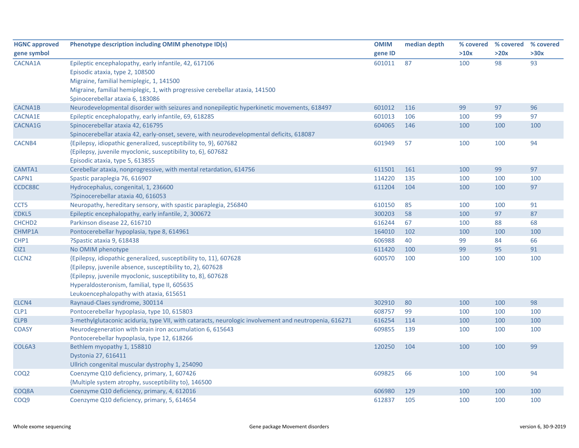| <b>HGNC approved</b> | Phenotype description including OMIM phenotype ID(s)                                                  | <b>OMIM</b> | median depth |      | % covered % covered | % covered |
|----------------------|-------------------------------------------------------------------------------------------------------|-------------|--------------|------|---------------------|-----------|
| gene symbol          |                                                                                                       | gene ID     |              | >10x | >20x                | >30x      |
| CACNA1A              | Epileptic encephalopathy, early infantile, 42, 617106                                                 | 601011      | 87           | 100  | 98                  | 93        |
|                      | Episodic ataxia, type 2, 108500                                                                       |             |              |      |                     |           |
|                      | Migraine, familial hemiplegic, 1, 141500                                                              |             |              |      |                     |           |
|                      | Migraine, familial hemiplegic, 1, with progressive cerebellar ataxia, 141500                          |             |              |      |                     |           |
|                      | Spinocerebellar ataxia 6, 183086                                                                      |             |              |      |                     |           |
| CACNA1B              | Neurodevelopmental disorder with seizures and nonepileptic hyperkinetic movements, 618497             | 601012      | 116          | 99   | 97                  | 96        |
| <b>CACNA1E</b>       | Epileptic encephalopathy, early infantile, 69, 618285                                                 | 601013      | 106          | 100  | 99                  | 97        |
| CACNA1G              | Spinocerebellar ataxia 42, 616795                                                                     | 604065      | 146          | 100  | 100                 | 100       |
|                      | Spinocerebellar ataxia 42, early-onset, severe, with neurodevelopmental deficits, 618087              |             |              |      |                     |           |
| CACNB4               | {Epilepsy, idiopathic generalized, susceptibility to, 9}, 607682                                      | 601949      | 57           | 100  | 100                 | 94        |
|                      | {Epilepsy, juvenile myoclonic, susceptibility to, 6}, 607682                                          |             |              |      |                     |           |
|                      | Episodic ataxia, type 5, 613855                                                                       |             |              |      |                     |           |
| CAMTA1               | Cerebellar ataxia, nonprogressive, with mental retardation, 614756                                    | 611501      | 161          | 100  | 99                  | 97        |
| CAPN1                | Spastic paraplegia 76, 616907                                                                         | 114220      | 135          | 100  | 100                 | 100       |
| CCDC88C              | Hydrocephalus, congenital, 1, 236600                                                                  | 611204      | 104          | 100  | 100                 | 97        |
|                      | ?Spinocerebellar ataxia 40, 616053                                                                    |             |              |      |                     |           |
| CCT5                 | Neuropathy, hereditary sensory, with spastic paraplegia, 256840                                       | 610150      | 85           | 100  | 100                 | 91        |
| CDKL5                | Epileptic encephalopathy, early infantile, 2, 300672                                                  | 300203      | 58           | 100  | 97                  | 87        |
| CHCHD <sub>2</sub>   | Parkinson disease 22, 616710                                                                          | 616244      | 67           | 100  | 88                  | 68        |
| CHMP1A               | Pontocerebellar hypoplasia, type 8, 614961                                                            | 164010      | 102          | 100  | 100                 | 100       |
| CHP1                 | ?Spastic ataxia 9, 618438                                                                             | 606988      | 40           | 99   | 84                  | 66        |
| CIZ1                 | No OMIM phenotype                                                                                     | 611420      | 100          | 99   | 95                  | 91        |
| CLCN <sub>2</sub>    | {Epilepsy, idiopathic generalized, susceptibility to, 11}, 607628                                     | 600570      | 100          | 100  | 100                 | 100       |
|                      | {Epilepsy, juvenile absence, susceptibility to, 2}, 607628                                            |             |              |      |                     |           |
|                      | {Epilepsy, juvenile myoclonic, susceptibility to, 8}, 607628                                          |             |              |      |                     |           |
|                      | Hyperaldosteronism, familial, type II, 605635                                                         |             |              |      |                     |           |
|                      | Leukoencephalopathy with ataxia, 615651                                                               |             |              |      |                     |           |
| CLCN4                | Raynaud-Claes syndrome, 300114                                                                        | 302910      | 80           | 100  | 100                 | 98        |
| CLP1                 | Pontocerebellar hypoplasia, type 10, 615803                                                           | 608757      | 99           | 100  | 100                 | 100       |
| <b>CLPB</b>          | 3-methylglutaconic aciduria, type VII, with cataracts, neurologic involvement and neutropenia, 616271 | 616254      | 114          | 100  | 100                 | 100       |
| <b>COASY</b>         | Neurodegeneration with brain iron accumulation 6, 615643                                              | 609855      | 139          | 100  | 100                 | 100       |
|                      | Pontocerebellar hypoplasia, type 12, 618266                                                           |             |              |      |                     |           |
| COL6A3               | Bethlem myopathy 1, 158810                                                                            | 120250      | 104          | 100  | 100                 | 99        |
|                      | Dystonia 27, 616411                                                                                   |             |              |      |                     |           |
|                      | Ullrich congenital muscular dystrophy 1, 254090                                                       |             |              |      |                     |           |
| COQ <sub>2</sub>     | Coenzyme Q10 deficiency, primary, 1, 607426                                                           | 609825      | 66           | 100  | 100                 | 94        |
|                      | {Multiple system atrophy, susceptibility to}, 146500                                                  |             |              |      |                     |           |
| COQ8A                | Coenzyme Q10 deficiency, primary, 4, 612016                                                           | 606980      | 129          | 100  | 100                 | 100       |
| COQ9                 | Coenzyme Q10 deficiency, primary, 5, 614654                                                           | 612837      | 105          | 100  | 100                 | 100       |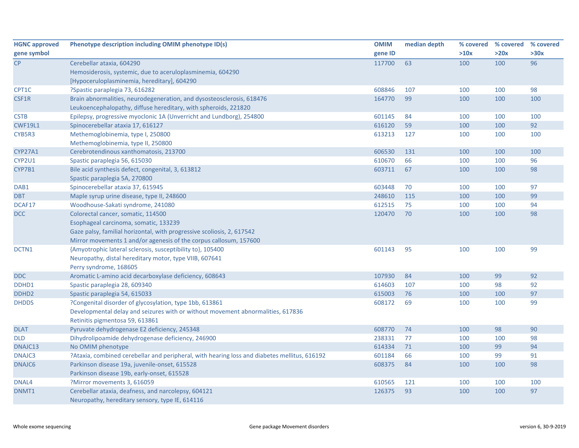| <b>HGNC approved</b> | Phenotype description including OMIM phenotype ID(s)                                         | <b>OMIM</b> | median depth |      | % covered % covered % covered |      |
|----------------------|----------------------------------------------------------------------------------------------|-------------|--------------|------|-------------------------------|------|
| gene symbol          |                                                                                              | gene ID     |              | >10x | >20x                          | >30x |
| CP                   | Cerebellar ataxia, 604290                                                                    | 117700      | 63           | 100  | 100                           | 96   |
|                      | Hemosiderosis, systemic, due to aceruloplasminemia, 604290                                   |             |              |      |                               |      |
|                      | [Hypoceruloplasminemia, hereditary], 604290                                                  |             |              |      |                               |      |
| CPT1C                | ?Spastic paraplegia 73, 616282                                                               | 608846      | 107          | 100  | 100                           | 98   |
| CSF1R                | Brain abnormalities, neurodegeneration, and dysosteosclerosis, 618476                        | 164770      | 99           | 100  | 100                           | 100  |
|                      | Leukoencephalopathy, diffuse hereditary, with spheroids, 221820                              |             |              |      |                               |      |
| <b>CSTB</b>          | Epilepsy, progressive myoclonic 1A (Unverricht and Lundborg), 254800                         | 601145      | 84           | 100  | 100                           | 100  |
| <b>CWF19L1</b>       | Spinocerebellar ataxia 17, 616127                                                            | 616120      | 59           | 100  | 100                           | 92   |
| CYB5R3               | Methemoglobinemia, type I, 250800                                                            | 613213      | 127          | 100  | 100                           | 100  |
|                      | Methemoglobinemia, type II, 250800                                                           |             |              |      |                               |      |
| <b>CYP27A1</b>       | Cerebrotendinous xanthomatosis, 213700                                                       | 606530      | 131          | 100  | 100                           | 100  |
| CYP2U1               | Spastic paraplegia 56, 615030                                                                | 610670      | 66           | 100  | 100                           | 96   |
| CYP7B1               | Bile acid synthesis defect, congenital, 3, 613812                                            | 603711      | 67           | 100  | 100                           | 98   |
|                      | Spastic paraplegia 5A, 270800                                                                |             |              |      |                               |      |
| DAB1                 | Spinocerebellar ataxia 37, 615945                                                            | 603448      | 70           | 100  | 100                           | 97   |
| <b>DBT</b>           | Maple syrup urine disease, type II, 248600                                                   | 248610      | 115          | 100  | 100                           | 99   |
| DCAF17               | Woodhouse-Sakati syndrome, 241080                                                            | 612515      | 75           | 100  | 100                           | 94   |
| <b>DCC</b>           | Colorectal cancer, somatic, 114500                                                           | 120470      | 70           | 100  | 100                           | 98   |
|                      | Esophageal carcinoma, somatic, 133239                                                        |             |              |      |                               |      |
|                      | Gaze palsy, familial horizontal, with progressive scoliosis, 2, 617542                       |             |              |      |                               |      |
|                      | Mirror movements 1 and/or agenesis of the corpus callosum, 157600                            |             |              |      |                               |      |
| DCTN1                | {Amyotrophic lateral sclerosis, susceptibility to}, 105400                                   | 601143      | 95           | 100  | 100                           | 99   |
|                      | Neuropathy, distal hereditary motor, type VIIB, 607641                                       |             |              |      |                               |      |
|                      | Perry syndrome, 168605                                                                       |             |              |      |                               |      |
| <b>DDC</b>           | Aromatic L-amino acid decarboxylase deficiency, 608643                                       | 107930      | 84           | 100  | 99                            | 92   |
| DDHD1                | Spastic paraplegia 28, 609340                                                                | 614603      | 107          | 100  | 98                            | 92   |
| DDHD <sub>2</sub>    | Spastic paraplegia 54, 615033                                                                | 615003      | 76           | 100  | 100                           | 97   |
| <b>DHDDS</b>         | ?Congenital disorder of glycosylation, type 1bb, 613861                                      | 608172      | 69           | 100  | 100                           | 99   |
|                      | Developmental delay and seizures with or without movement abnormalities, 617836              |             |              |      |                               |      |
|                      | Retinitis pigmentosa 59, 613861                                                              |             |              |      |                               |      |
| <b>DLAT</b>          | Pyruvate dehydrogenase E2 deficiency, 245348                                                 | 608770      | 74           | 100  | 98                            | 90   |
| <b>DLD</b>           | Dihydrolipoamide dehydrogenase deficiency, 246900                                            | 238331      | 77           | 100  | 100                           | 98   |
| DNAJC13              | No OMIM phenotype                                                                            | 614334      | 71           | 100  | 99                            | 94   |
| DNAJC3               | ?Ataxia, combined cerebellar and peripheral, with hearing loss and diabetes mellitus, 616192 | 601184      | 66           | 100  | 99                            | 91   |
| DNAJC6               | Parkinson disease 19a, juvenile-onset, 615528                                                | 608375      | 84           | 100  | 100                           | 98   |
|                      | Parkinson disease 19b, early-onset, 615528                                                   |             |              |      |                               |      |
| DNAL4                | ?Mirror movements 3, 616059                                                                  | 610565      | 121          | 100  | 100                           | 100  |
| DNMT1                | Cerebellar ataxia, deafness, and narcolepsy, 604121                                          | 126375      | 93           | 100  | 100                           | 97   |
|                      | Neuropathy, hereditary sensory, type IE, 614116                                              |             |              |      |                               |      |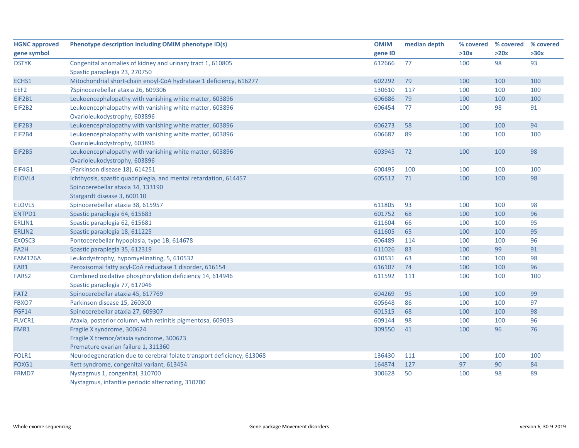| <b>HGNC approved</b> | Phenotype description including OMIM phenotype ID(s)                  | <b>OMIM</b> | median depth | % covered % covered |      | % covered |
|----------------------|-----------------------------------------------------------------------|-------------|--------------|---------------------|------|-----------|
| gene symbol          |                                                                       | gene ID     |              | >10x                | >20x | >30x      |
| <b>DSTYK</b>         | Congenital anomalies of kidney and urinary tract 1, 610805            | 612666      | 77           | 100                 | 98   | 93        |
|                      | Spastic paraplegia 23, 270750                                         |             |              |                     |      |           |
| ECHS1                | Mitochondrial short-chain enoyl-CoA hydratase 1 deficiency, 616277    | 602292      | 79           | 100                 | 100  | 100       |
| EEF2                 | ?Spinocerebellar ataxia 26, 609306                                    | 130610      | 117          | 100                 | 100  | 100       |
| EIF2B1               | Leukoencephalopathy with vanishing white matter, 603896               | 606686      | 79           | 100                 | 100  | 100       |
| <b>EIF2B2</b>        | Leukoencephalopathy with vanishing white matter, 603896               | 606454      | 77           | 100                 | 98   | 91        |
|                      | Ovarioleukodystrophy, 603896                                          |             |              |                     |      |           |
| EIF2B3               | Leukoencephalopathy with vanishing white matter, 603896               | 606273      | 58           | 100                 | 100  | 94        |
| EIF2B4               | Leukoencephalopathy with vanishing white matter, 603896               | 606687      | 89           | 100                 | 100  | 100       |
|                      | Ovarioleukodystrophy, 603896                                          |             |              |                     |      |           |
| <b>EIF2B5</b>        | Leukoencephalopathy with vanishing white matter, 603896               | 603945      | 72           | 100                 | 100  | 98        |
|                      | Ovarioleukodystrophy, 603896                                          |             |              |                     |      |           |
| EIF4G1               | {Parkinson disease 18}, 614251                                        | 600495      | 100          | 100                 | 100  | 100       |
| ELOVL4               | Ichthyosis, spastic quadriplegia, and mental retardation, 614457      | 605512      | 71           | 100                 | 100  | 98        |
|                      | Spinocerebellar ataxia 34, 133190                                     |             |              |                     |      |           |
|                      | Stargardt disease 3, 600110                                           |             |              |                     |      |           |
| ELOVL5               | Spinocerebellar ataxia 38, 615957                                     | 611805      | 93           | 100                 | 100  | 98        |
| ENTPD1               | Spastic paraplegia 64, 615683                                         | 601752      | 68           | 100                 | 100  | 96        |
| ERLIN1               | Spastic paraplegia 62, 615681                                         | 611604      | 66           | 100                 | 100  | 95        |
| ERLIN2               | Spastic paraplegia 18, 611225                                         | 611605      | 65           | 100                 | 100  | 95        |
| EXOSC3               | Pontocerebellar hypoplasia, type 1B, 614678                           | 606489      | 114          | 100                 | 100  | 96        |
| FA2H                 | Spastic paraplegia 35, 612319                                         | 611026      | 83           | 100                 | 99   | 91        |
| <b>FAM126A</b>       | Leukodystrophy, hypomyelinating, 5, 610532                            | 610531      | 63           | 100                 | 100  | 98        |
| FAR1                 | Peroxisomal fatty acyl-CoA reductase 1 disorder, 616154               | 616107      | 74           | 100                 | 100  | 96        |
| FARS <sub>2</sub>    | Combined oxidative phosphorylation deficiency 14, 614946              | 611592      | 111          | 100                 | 100  | 100       |
|                      | Spastic paraplegia 77, 617046                                         |             |              |                     |      |           |
| FAT <sub>2</sub>     | Spinocerebellar ataxia 45, 617769                                     | 604269      | 95           | 100                 | 100  | 99        |
| FBXO7                | Parkinson disease 15, 260300                                          | 605648      | 86           | 100                 | 100  | 97        |
| <b>FGF14</b>         | Spinocerebellar ataxia 27, 609307                                     | 601515      | 68           | 100                 | 100  | 98        |
| FLVCR1               | Ataxia, posterior column, with retinitis pigmentosa, 609033           | 609144      | 98           | 100                 | 100  | 96        |
| FMR1                 | Fragile X syndrome, 300624                                            | 309550      | 41           | 100                 | 96   | 76        |
|                      | Fragile X tremor/ataxia syndrome, 300623                              |             |              |                     |      |           |
|                      | Premature ovarian failure 1, 311360                                   |             |              |                     |      |           |
| FOLR1                | Neurodegeneration due to cerebral folate transport deficiency, 613068 | 136430      | 111          | 100                 | 100  | 100       |
| FOXG1                | Rett syndrome, congenital variant, 613454                             | 164874      | 127          | 97                  | 90   | 84        |
| FRMD7                | Nystagmus 1, congenital, 310700                                       | 300628      | 50           | 100                 | 98   | 89        |
|                      | Nystagmus, infantile periodic alternating, 310700                     |             |              |                     |      |           |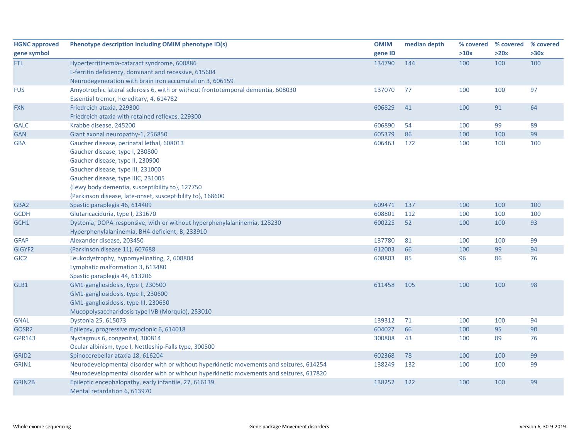| <b>HGNC approved</b> | Phenotype description including OMIM phenotype ID(s)                                    | <b>OMIM</b> | median depth |      | % covered % covered | % covered |
|----------------------|-----------------------------------------------------------------------------------------|-------------|--------------|------|---------------------|-----------|
| gene symbol          |                                                                                         | gene ID     |              | >10x | >20x                | >30x      |
| <b>FTL</b>           | Hyperferritinemia-cataract syndrome, 600886                                             | 134790      | 144          | 100  | 100                 | 100       |
|                      | L-ferritin deficiency, dominant and recessive, 615604                                   |             |              |      |                     |           |
|                      | Neurodegeneration with brain iron accumulation 3, 606159                                |             |              |      |                     |           |
| <b>FUS</b>           | Amyotrophic lateral sclerosis 6, with or without frontotemporal dementia, 608030        | 137070      | 77           | 100  | 100                 | 97        |
|                      | Essential tremor, hereditary, 4, 614782                                                 |             |              |      |                     |           |
| <b>FXN</b>           | Friedreich ataxia, 229300                                                               | 606829      | 41           | 100  | 91                  | 64        |
|                      | Friedreich ataxia with retained reflexes, 229300                                        |             |              |      |                     |           |
| <b>GALC</b>          | Krabbe disease, 245200                                                                  | 606890      | 54           | 100  | 99                  | 89        |
| <b>GAN</b>           | Giant axonal neuropathy-1, 256850                                                       | 605379      | 86           | 100  | 100                 | 99        |
| <b>GBA</b>           | Gaucher disease, perinatal lethal, 608013                                               | 606463      | 172          | 100  | 100                 | 100       |
|                      | Gaucher disease, type I, 230800                                                         |             |              |      |                     |           |
|                      | Gaucher disease, type II, 230900                                                        |             |              |      |                     |           |
|                      | Gaucher disease, type III, 231000                                                       |             |              |      |                     |           |
|                      | Gaucher disease, type IIIC, 231005                                                      |             |              |      |                     |           |
|                      | {Lewy body dementia, susceptibility to}, 127750                                         |             |              |      |                     |           |
|                      | {Parkinson disease, late-onset, susceptibility to}, 168600                              |             |              |      |                     |           |
| GBA <sub>2</sub>     | Spastic paraplegia 46, 614409                                                           | 609471      | 137          | 100  | 100                 | 100       |
| <b>GCDH</b>          | Glutaricaciduria, type I, 231670                                                        | 608801      | 112          | 100  | 100                 | 100       |
| GCH1                 | Dystonia, DOPA-responsive, with or without hyperphenylalaninemia, 128230                | 600225      | 52           | 100  | 100                 | 93        |
|                      | Hyperphenylalaninemia, BH4-deficient, B, 233910                                         |             |              |      |                     |           |
| <b>GFAP</b>          | Alexander disease, 203450                                                               | 137780      | 81           | 100  | 100                 | 99        |
| GIGYF2               | {Parkinson disease 11}, 607688                                                          | 612003      | 66           | 100  | 99                  | 94        |
| GJC <sub>2</sub>     | Leukodystrophy, hypomyelinating, 2, 608804                                              | 608803      | 85           | 96   | 86                  | 76        |
|                      | Lymphatic malformation 3, 613480                                                        |             |              |      |                     |           |
|                      | Spastic paraplegia 44, 613206                                                           |             |              |      |                     |           |
| GLB1                 | GM1-gangliosidosis, type I, 230500                                                      | 611458      | 105          | 100  | 100                 | 98        |
|                      | GM1-gangliosidosis, type II, 230600                                                     |             |              |      |                     |           |
|                      | GM1-gangliosidosis, type III, 230650                                                    |             |              |      |                     |           |
|                      | Mucopolysaccharidosis type IVB (Morquio), 253010                                        |             |              |      |                     |           |
| <b>GNAL</b>          | Dystonia 25, 615073                                                                     | 139312      | 71           | 100  | 100                 | 94        |
| GOSR2                | Epilepsy, progressive myoclonic 6, 614018                                               | 604027      | 66           | 100  | 95                  | 90        |
| <b>GPR143</b>        | Nystagmus 6, congenital, 300814                                                         | 300808      | 43           | 100  | 89                  | 76        |
|                      | Ocular albinism, type I, Nettleship-Falls type, 300500                                  |             |              |      |                     |           |
| GRID <sub>2</sub>    | Spinocerebellar ataxia 18, 616204                                                       | 602368      | 78           | 100  | 100                 | 99        |
| GRIN1                | Neurodevelopmental disorder with or without hyperkinetic movements and seizures, 614254 | 138249      | 132          | 100  | 100                 | 99        |
|                      | Neurodevelopmental disorder with or without hyperkinetic movements and seizures, 617820 |             |              |      |                     |           |
| <b>GRIN2B</b>        | Epileptic encephalopathy, early infantile, 27, 616139                                   | 138252      | 122          | 100  | 100                 | 99        |
|                      | Mental retardation 6, 613970                                                            |             |              |      |                     |           |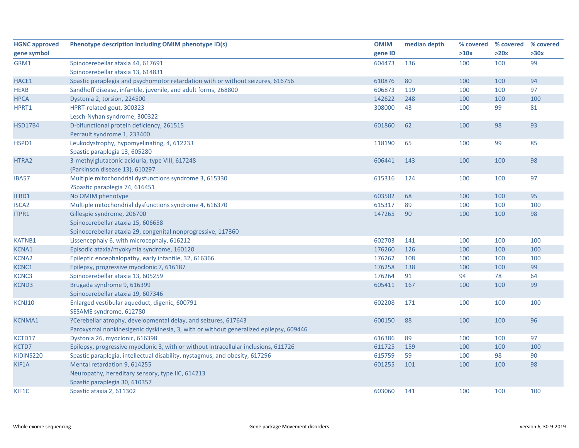| <b>HGNC approved</b> | Phenotype description including OMIM phenotype ID(s)                                  | <b>OMIM</b> | median depth | % covered | % covered | % covered |
|----------------------|---------------------------------------------------------------------------------------|-------------|--------------|-----------|-----------|-----------|
| gene symbol          |                                                                                       | gene ID     |              | >10x      | >20x      | >30x      |
| GRM1                 | Spinocerebellar ataxia 44, 617691                                                     | 604473      | 136          | 100       | 100       | 99        |
|                      | Spinocerebellar ataxia 13, 614831                                                     |             |              |           |           |           |
| HACE1                | Spastic paraplegia and psychomotor retardation with or without seizures, 616756       | 610876      | 80           | 100       | 100       | 94        |
| <b>HEXB</b>          | Sandhoff disease, infantile, juvenile, and adult forms, 268800                        | 606873      | 119          | 100       | 100       | 97        |
| <b>HPCA</b>          | Dystonia 2, torsion, 224500                                                           | 142622      | 248          | 100       | 100       | 100       |
| HPRT1                | HPRT-related gout, 300323                                                             | 308000      | 43           | 100       | 99        | 81        |
|                      | Lesch-Nyhan syndrome, 300322                                                          |             |              |           |           |           |
| <b>HSD17B4</b>       | D-bifunctional protein deficiency, 261515                                             | 601860      | 62           | 100       | 98        | 93        |
|                      | Perrault syndrome 1, 233400                                                           |             |              |           |           |           |
| HSPD1                | Leukodystrophy, hypomyelinating, 4, 612233                                            | 118190      | 65           | 100       | 99        | 85        |
|                      | Spastic paraplegia 13, 605280                                                         |             |              |           |           |           |
| HTRA2                | 3-methylglutaconic aciduria, type VIII, 617248                                        | 606441      | 143          | 100       | 100       | 98        |
|                      | {Parkinson disease 13}, 610297                                                        |             |              |           |           |           |
| <b>IBA57</b>         | Multiple mitochondrial dysfunctions syndrome 3, 615330                                | 615316      | 124          | 100       | 100       | 97        |
|                      | ?Spastic paraplegia 74, 616451                                                        |             |              |           |           |           |
| IFRD1                | No OMIM phenotype                                                                     | 603502      | 68           | 100       | 100       | 95        |
| <b>ISCA2</b>         | Multiple mitochondrial dysfunctions syndrome 4, 616370                                | 615317      | 89           | 100       | 100       | 100       |
| ITPR1                | Gillespie syndrome, 206700                                                            | 147265      | 90           | 100       | 100       | 98        |
|                      | Spinocerebellar ataxia 15, 606658                                                     |             |              |           |           |           |
|                      | Spinocerebellar ataxia 29, congenital nonprogressive, 117360                          |             |              |           |           |           |
| <b>KATNB1</b>        | Lissencephaly 6, with microcephaly, 616212                                            | 602703      | 141          | 100       | 100       | 100       |
| KCNA1                | Episodic ataxia/myokymia syndrome, 160120                                             | 176260      | 126          | 100       | 100       | 100       |
| <b>KCNA2</b>         | Epileptic encephalopathy, early infantile, 32, 616366                                 | 176262      | 108          | 100       | 100       | 100       |
| KCNC1                | Epilepsy, progressive myoclonic 7, 616187                                             | 176258      | 138          | 100       | 100       | 99        |
| KCNC3                | Spinocerebellar ataxia 13, 605259                                                     | 176264      | 91           | 94        | 78        | 64        |
| <b>KCND3</b>         | Brugada syndrome 9, 616399                                                            | 605411      | 167          | 100       | 100       | 99        |
|                      | Spinocerebellar ataxia 19, 607346                                                     |             |              |           |           |           |
| KCNJ10               | Enlarged vestibular aqueduct, digenic, 600791                                         | 602208      | 171          | 100       | 100       | 100       |
|                      | SESAME syndrome, 612780                                                               |             |              |           |           |           |
| KCNMA1               | ?Cerebellar atrophy, developmental delay, and seizures, 617643                        | 600150      | 88           | 100       | 100       | 96        |
|                      | Paroxysmal nonkinesigenic dyskinesia, 3, with or without generalized epilepsy, 609446 |             |              |           |           |           |
| KCTD17               | Dystonia 26, myoclonic, 616398                                                        | 616386      | 89           | 100       | 100       | 97        |
| KCTD7                | Epilepsy, progressive myoclonic 3, with or without intracellular inclusions, 611726   | 611725      | 159          | 100       | 100       | 100       |
| KIDINS220            | Spastic paraplegia, intellectual disability, nystagmus, and obesity, 617296           | 615759      | 59           | 100       | 98        | 90        |
| KIF1A                | Mental retardation 9, 614255                                                          | 601255      | 101          | 100       | 100       | 98        |
|                      | Neuropathy, hereditary sensory, type IIC, 614213                                      |             |              |           |           |           |
|                      | Spastic paraplegia 30, 610357                                                         |             |              |           |           |           |
| KIF1C                | Spastic ataxia 2, 611302                                                              | 603060      | 141          | 100       | 100       | 100       |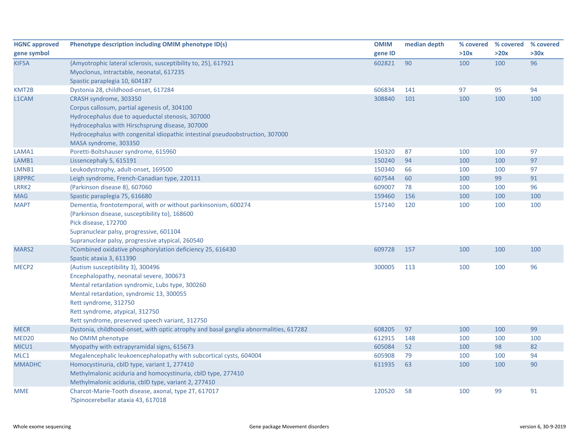| <b>HGNC approved</b> | Phenotype description including OMIM phenotype ID(s)                                  | <b>OMIM</b> | median depth |      | % covered % covered % covered |      |
|----------------------|---------------------------------------------------------------------------------------|-------------|--------------|------|-------------------------------|------|
| gene symbol          |                                                                                       | gene ID     |              | >10x | >20x                          | >30x |
| KIF5A                | {Amyotrophic lateral sclerosis, susceptibility to, 25}, 617921                        | 602821      | 90           | 100  | 100                           | 96   |
|                      | Myoclonus, intractable, neonatal, 617235                                              |             |              |      |                               |      |
|                      | Spastic paraplegia 10, 604187                                                         |             |              |      |                               |      |
| KMT2B                | Dystonia 28, childhood-onset, 617284                                                  | 606834      | 141          | 97   | 95                            | 94   |
| L1CAM                | CRASH syndrome, 303350                                                                | 308840      | 101          | 100  | 100                           | 100  |
|                      | Corpus callosum, partial agenesis of, 304100                                          |             |              |      |                               |      |
|                      | Hydrocephalus due to aqueductal stenosis, 307000                                      |             |              |      |                               |      |
|                      | Hydrocephalus with Hirschsprung disease, 307000                                       |             |              |      |                               |      |
|                      | Hydrocephalus with congenital idiopathic intestinal pseudoobstruction, 307000         |             |              |      |                               |      |
|                      | MASA syndrome, 303350                                                                 |             |              |      |                               |      |
| LAMA1                | Poretti-Boltshauser syndrome, 615960                                                  | 150320      | 87           | 100  | 100                           | 97   |
| LAMB1                | Lissencephaly 5, 615191                                                               | 150240      | 94           | 100  | 100                           | 97   |
| LMNB1                | Leukodystrophy, adult-onset, 169500                                                   | 150340      | 66           | 100  | 100                           | 97   |
| <b>LRPPRC</b>        | Leigh syndrome, French-Canadian type, 220111                                          | 607544      | 60           | 100  | 99                            | 91   |
| LRRK2                | {Parkinson disease 8}, 607060                                                         | 609007      | 78           | 100  | 100                           | 96   |
| <b>MAG</b>           | Spastic paraplegia 75, 616680                                                         | 159460      | 156          | 100  | 100                           | 100  |
| <b>MAPT</b>          | Dementia, frontotemporal, with or without parkinsonism, 600274                        | 157140      | 120          | 100  | 100                           | 100  |
|                      | {Parkinson disease, susceptibility to}, 168600                                        |             |              |      |                               |      |
|                      | Pick disease, 172700                                                                  |             |              |      |                               |      |
|                      | Supranuclear palsy, progressive, 601104                                               |             |              |      |                               |      |
|                      | Supranuclear palsy, progressive atypical, 260540                                      |             |              |      |                               |      |
| MARS <sub>2</sub>    | ?Combined oxidative phosphorylation deficiency 25, 616430                             | 609728      | 157          | 100  | 100                           | 100  |
|                      | Spastic ataxia 3, 611390                                                              |             |              |      |                               |      |
| MECP <sub>2</sub>    | {Autism susceptibility 3}, 300496                                                     | 300005      | 113          | 100  | 100                           | 96   |
|                      | Encephalopathy, neonatal severe, 300673                                               |             |              |      |                               |      |
|                      | Mental retardation syndromic, Lubs type, 300260                                       |             |              |      |                               |      |
|                      | Mental retardation, syndromic 13, 300055                                              |             |              |      |                               |      |
|                      | Rett syndrome, 312750                                                                 |             |              |      |                               |      |
|                      | Rett syndrome, atypical, 312750                                                       |             |              |      |                               |      |
|                      | Rett syndrome, preserved speech variant, 312750                                       |             |              |      |                               |      |
| <b>MECR</b>          | Dystonia, childhood-onset, with optic atrophy and basal ganglia abnormalities, 617282 | 608205      | 97           | 100  | 100                           | 99   |
| MED <sub>20</sub>    | No OMIM phenotype                                                                     | 612915      | 148          | 100  | 100                           | 100  |
| MICU1                | Myopathy with extrapyramidal signs, 615673                                            | 605084      | 52           | 100  | 98                            | 82   |
| MLC1                 | Megalencephalic leukoencephalopathy with subcortical cysts, 604004                    | 605908      | 79           | 100  | 100                           | 94   |
| <b>MMADHC</b>        | Homocystinuria, cblD type, variant 1, 277410                                          | 611935      | 63           | 100  | 100                           | 90   |
|                      | Methylmalonic aciduria and homocystinuria, cblD type, 277410                          |             |              |      |                               |      |
|                      | Methylmalonic aciduria, cblD type, variant 2, 277410                                  |             |              |      |                               |      |
| <b>MME</b>           | Charcot-Marie-Tooth disease, axonal, type 2T, 617017                                  | 120520      | 58           | 100  | 99                            | 91   |
|                      | ?Spinocerebellar ataxia 43, 617018                                                    |             |              |      |                               |      |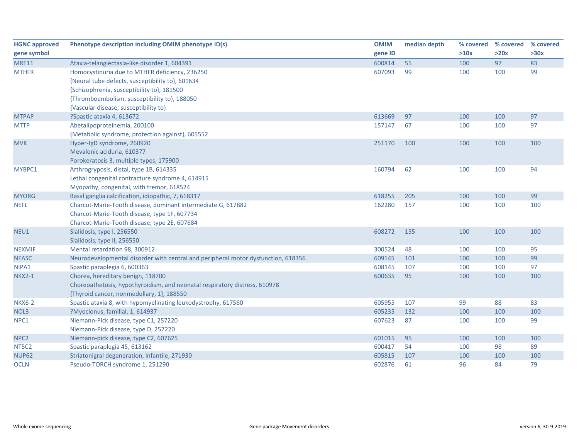| <b>HGNC approved</b> | Phenotype description including OMIM phenotype ID(s)                              | <b>OMIM</b> | median depth | % covered | % covered | % covered |
|----------------------|-----------------------------------------------------------------------------------|-------------|--------------|-----------|-----------|-----------|
| gene symbol          |                                                                                   | gene ID     |              | >10x      | >20x      | >30x      |
| <b>MRE11</b>         | Ataxia-telangiectasia-like disorder 1, 604391                                     | 600814      | 55           | 100       | 97        | 83        |
| <b>MTHFR</b>         | Homocystinuria due to MTHFR deficiency, 236250                                    | 607093      | 99           | 100       | 100       | 99        |
|                      | {Neural tube defects, susceptibility to}, 601634                                  |             |              |           |           |           |
|                      | {Schizophrenia, susceptibility to}, 181500                                        |             |              |           |           |           |
|                      | {Thromboembolism, susceptibility to}, 188050                                      |             |              |           |           |           |
|                      | {Vascular disease, susceptibility to}                                             |             |              |           |           |           |
| <b>MTPAP</b>         | ?Spastic ataxia 4, 613672                                                         | 613669      | 97           | 100       | 100       | 97        |
| <b>MTTP</b>          | Abetalipoproteinemia, 200100                                                      | 157147      | 67           | 100       | 100       | 97        |
|                      | {Metabolic syndrome, protection against}, 605552                                  |             |              |           |           |           |
| <b>MVK</b>           | Hyper-IgD syndrome, 260920                                                        | 251170      | 100          | 100       | 100       | 100       |
|                      | Mevalonic aciduria, 610377                                                        |             |              |           |           |           |
|                      | Porokeratosis 3, multiple types, 175900                                           |             |              |           |           |           |
| MYBPC1               | Arthrogryposis, distal, type 1B, 614335                                           | 160794      | 62           | 100       | 100       | 94        |
|                      | Lethal congenital contracture syndrome 4, 614915                                  |             |              |           |           |           |
|                      | Myopathy, congenital, with tremor, 618524                                         |             |              |           |           |           |
| <b>MYORG</b>         | Basal ganglia calcification, idiopathic, 7, 618317                                | 618255      | 205          | 100       | 100       | 99        |
| <b>NEFL</b>          | Charcot-Marie-Tooth disease, dominant intermediate G, 617882                      | 162280      | 157          | 100       | 100       | 100       |
|                      | Charcot-Marie-Tooth disease, type 1F, 607734                                      |             |              |           |           |           |
|                      | Charcot-Marie-Tooth disease, type 2E, 607684                                      |             |              |           |           |           |
| NEU1                 | Sialidosis, type I, 256550                                                        | 608272      | 155          | 100       | 100       | 100       |
|                      | Sialidosis, type II, 256550                                                       |             |              |           |           |           |
| <b>NEXMIF</b>        | Mental retardation 98, 300912                                                     | 300524      | 48           | 100       | 100       | 95        |
| <b>NFASC</b>         | Neurodevelopmental disorder with central and peripheral motor dysfunction, 618356 | 609145      | 101          | 100       | 100       | 99        |
| NIPA1                | Spastic paraplegia 6, 600363                                                      | 608145      | 107          | 100       | 100       | 97        |
| <b>NKX2-1</b>        | Chorea, hereditary benign, 118700                                                 | 600635      | 95           | 100       | 100       | 100       |
|                      | Choreoathetosis, hypothyroidism, and neonatal respiratory distress, 610978        |             |              |           |           |           |
|                      | {Thyroid cancer, nonmedullary, 1}, 188550                                         |             |              |           |           |           |
| <b>NKX6-2</b>        | Spastic ataxia 8, with hypomyelinating leukodystrophy, 617560                     | 605955      | 107          | 99        | 88        | 83        |
| NOL3                 | ?Myoclonus, familial, 1, 614937                                                   | 605235      | 132          | 100       | 100       | 100       |
| NPC1                 | Niemann-Pick disease, type C1, 257220                                             | 607623      | 87           | 100       | 100       | 99        |
|                      | Niemann-Pick disease, type D, 257220                                              |             |              |           |           |           |
| NPC <sub>2</sub>     | Niemann-pick disease, type C2, 607625                                             | 601015      | 95           | 100       | 100       | 100       |
| NT5C2                | Spastic paraplegia 45, 613162                                                     | 600417      | 54           | 100       | 98        | 89        |
| <b>NUP62</b>         | Striatonigral degeneration, infantile, 271930                                     | 605815      | 107          | 100       | 100       | 100       |
| <b>OCLN</b>          | Pseudo-TORCH syndrome 1, 251290                                                   | 602876      | 61           | 96        | 84        | 79        |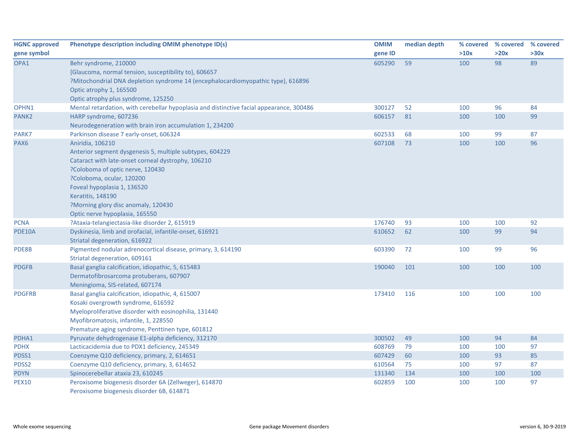| <b>HGNC approved</b> | Phenotype description including OMIM phenotype ID(s)                                                                                                                                                                                                                                                                                    | <b>OMIM</b> | median depth | % covered | % covered % covered |      |
|----------------------|-----------------------------------------------------------------------------------------------------------------------------------------------------------------------------------------------------------------------------------------------------------------------------------------------------------------------------------------|-------------|--------------|-----------|---------------------|------|
| gene symbol          |                                                                                                                                                                                                                                                                                                                                         | gene ID     |              | >10x      | >20x                | >30x |
| OPA1                 | Behr syndrome, 210000<br>{Glaucoma, normal tension, susceptibility to}, 606657<br>?Mitochondrial DNA depletion syndrome 14 (encephalocardiomyopathic type), 616896<br>Optic atrophy 1, 165500<br>Optic atrophy plus syndrome, 125250                                                                                                    | 605290      | 59           | 100       | 98                  | 89   |
| OPHN1                | Mental retardation, with cerebellar hypoplasia and distinctive facial appearance, 300486                                                                                                                                                                                                                                                | 300127      | 52           | 100       | 96                  | 84   |
| PANK2                | HARP syndrome, 607236<br>Neurodegeneration with brain iron accumulation 1, 234200                                                                                                                                                                                                                                                       | 606157      | 81           | 100       | 100                 | 99   |
| PARK7                | Parkinson disease 7 early-onset, 606324                                                                                                                                                                                                                                                                                                 | 602533      | 68           | 100       | 99                  | 87   |
| PAX <sub>6</sub>     | Aniridia, 106210<br>Anterior segment dysgenesis 5, multiple subtypes, 604229<br>Cataract with late-onset corneal dystrophy, 106210<br>?Coloboma of optic nerve, 120430<br>?Coloboma, ocular, 120200<br>Foveal hypoplasia 1, 136520<br><b>Keratitis, 148190</b><br>?Morning glory disc anomaly, 120430<br>Optic nerve hypoplasia, 165550 | 607108      | 73           | 100       | 100                 | 96   |
| <b>PCNA</b>          | ?Ataxia-telangiectasia-like disorder 2, 615919                                                                                                                                                                                                                                                                                          | 176740      | 93           | 100       | 100                 | 92   |
| <b>PDE10A</b>        | Dyskinesia, limb and orofacial, infantile-onset, 616921<br>Striatal degeneration, 616922                                                                                                                                                                                                                                                | 610652      | 62           | 100       | 99                  | 94   |
| PDE8B                | Pigmented nodular adrenocortical disease, primary, 3, 614190<br>Striatal degeneration, 609161                                                                                                                                                                                                                                           | 603390      | 72           | 100       | 99                  | 96   |
| <b>PDGFB</b>         | Basal ganglia calcification, idiopathic, 5, 615483<br>Dermatofibrosarcoma protuberans, 607907<br>Meningioma, SIS-related, 607174                                                                                                                                                                                                        | 190040      | 101          | 100       | 100                 | 100  |
| <b>PDGFRB</b>        | Basal ganglia calcification, idiopathic, 4, 615007<br>Kosaki overgrowth syndrome, 616592<br>Myeloproliferative disorder with eosinophilia, 131440<br>Myofibromatosis, infantile, 1, 228550<br>Premature aging syndrome, Penttinen type, 601812                                                                                          | 173410      | 116          | 100       | 100                 | 100  |
| PDHA1                | Pyruvate dehydrogenase E1-alpha deficiency, 312170                                                                                                                                                                                                                                                                                      | 300502      | 49           | 100       | 94                  | 84   |
| <b>PDHX</b>          | Lacticacidemia due to PDX1 deficiency, 245349                                                                                                                                                                                                                                                                                           | 608769      | 79           | 100       | 100                 | 97   |
| PDSS1                | Coenzyme Q10 deficiency, primary, 2, 614651                                                                                                                                                                                                                                                                                             | 607429      | 60           | 100       | 93                  | 85   |
| PDSS2                | Coenzyme Q10 deficiency, primary, 3, 614652                                                                                                                                                                                                                                                                                             | 610564      | 75           | 100       | 97                  | 87   |
| <b>PDYN</b>          | Spinocerebellar ataxia 23, 610245                                                                                                                                                                                                                                                                                                       | 131340      | 134          | 100       | 100                 | 100  |
| <b>PEX10</b>         | Peroxisome biogenesis disorder 6A (Zellweger), 614870<br>Peroxisome biogenesis disorder 6B, 614871                                                                                                                                                                                                                                      | 602859      | 100          | 100       | 100                 | 97   |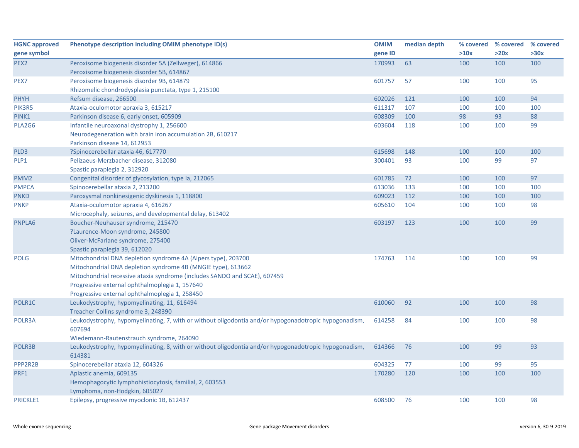| <b>HGNC approved</b><br>gene symbol | Phenotype description including OMIM phenotype ID(s)                                                  | <b>OMIM</b><br>gene ID | median depth | % covered<br>>10x | % covered<br>>20x | % covered<br>>30x |
|-------------------------------------|-------------------------------------------------------------------------------------------------------|------------------------|--------------|-------------------|-------------------|-------------------|
| PEX <sub>2</sub>                    | Peroxisome biogenesis disorder 5A (Zellweger), 614866                                                 | 170993                 | 63           | 100               | 100               | 100               |
|                                     | Peroxisome biogenesis disorder 5B, 614867                                                             |                        |              |                   |                   |                   |
| PEX7                                | Peroxisome biogenesis disorder 9B, 614879                                                             | 601757                 | 57           | 100               | 100               | 95                |
|                                     | Rhizomelic chondrodysplasia punctata, type 1, 215100                                                  |                        |              |                   |                   |                   |
| <b>PHYH</b>                         | Refsum disease, 266500                                                                                | 602026                 | 121          | 100               | 100               | 94                |
| PIK3R5                              | Ataxia-oculomotor apraxia 3, 615217                                                                   | 611317                 | 107          | 100               | 100               | 100               |
| PINK1                               | Parkinson disease 6, early onset, 605909                                                              | 608309                 | 100          | 98                | 93                | 88                |
| PLA2G6                              | Infantile neuroaxonal dystrophy 1, 256600                                                             | 603604                 | 118          | 100               | 100               | 99                |
|                                     | Neurodegeneration with brain iron accumulation 2B, 610217                                             |                        |              |                   |                   |                   |
|                                     | Parkinson disease 14, 612953                                                                          |                        |              |                   |                   |                   |
| PLD <sub>3</sub>                    | ?Spinocerebellar ataxia 46, 617770                                                                    | 615698                 | 148          | 100               | 100               | 100               |
| PLP1                                | Pelizaeus-Merzbacher disease, 312080                                                                  | 300401                 | 93           | 100               | 99                | 97                |
|                                     | Spastic paraplegia 2, 312920                                                                          |                        |              |                   |                   |                   |
| PMM <sub>2</sub>                    | Congenital disorder of glycosylation, type Ia, 212065                                                 | 601785                 | 72           | 100               | 100               | 97                |
| <b>PMPCA</b>                        | Spinocerebellar ataxia 2, 213200                                                                      | 613036                 | 133          | 100               | 100               | 100               |
| <b>PNKD</b>                         | Paroxysmal nonkinesigenic dyskinesia 1, 118800                                                        | 609023                 | 112          | 100               | 100               | 100               |
| <b>PNKP</b>                         | Ataxia-oculomotor apraxia 4, 616267                                                                   | 605610                 | 104          | 100               | 100               | 98                |
|                                     | Microcephaly, seizures, and developmental delay, 613402                                               |                        |              |                   |                   |                   |
| PNPLA6                              | Boucher-Neuhauser syndrome, 215470                                                                    | 603197                 | 123          | 100               | 100               | 99                |
|                                     | ?Laurence-Moon syndrome, 245800                                                                       |                        |              |                   |                   |                   |
|                                     | Oliver-McFarlane syndrome, 275400                                                                     |                        |              |                   |                   |                   |
|                                     | Spastic paraplegia 39, 612020                                                                         |                        |              |                   |                   |                   |
| <b>POLG</b>                         | Mitochondrial DNA depletion syndrome 4A (Alpers type), 203700                                         | 174763                 | 114          | 100               | 100               | 99                |
|                                     | Mitochondrial DNA depletion syndrome 4B (MNGIE type), 613662                                          |                        |              |                   |                   |                   |
|                                     | Mitochondrial recessive ataxia syndrome (includes SANDO and SCAE), 607459                             |                        |              |                   |                   |                   |
|                                     | Progressive external ophthalmoplegia 1, 157640                                                        |                        |              |                   |                   |                   |
|                                     | Progressive external ophthalmoplegia 1, 258450                                                        |                        |              |                   |                   |                   |
| POLR1C                              | Leukodystrophy, hypomyelinating, 11, 616494                                                           | 610060                 | 92           | 100               | 100               | 98                |
|                                     | Treacher Collins syndrome 3, 248390                                                                   |                        |              |                   |                   |                   |
| POLR3A                              | Leukodystrophy, hypomyelinating, 7, with or without oligodontia and/or hypogonadotropic hypogonadism, | 614258                 | 84           | 100               | 100               | 98                |
|                                     | 607694                                                                                                |                        |              |                   |                   |                   |
|                                     | Wiedemann-Rautenstrauch syndrome, 264090                                                              |                        |              |                   |                   |                   |
| POLR3B                              | Leukodystrophy, hypomyelinating, 8, with or without oligodontia and/or hypogonadotropic hypogonadism, | 614366                 | 76           | 100               | 99                | 93                |
|                                     | 614381                                                                                                |                        |              |                   |                   |                   |
| PPP2R2B                             | Spinocerebellar ataxia 12, 604326                                                                     | 604325                 | 77           | 100               | 99                | 95                |
| PRF1                                | Aplastic anemia, 609135                                                                               | 170280                 | 120          | 100               | 100               | 100               |
|                                     | Hemophagocytic lymphohistiocytosis, familial, 2, 603553                                               |                        |              |                   |                   |                   |
|                                     | Lymphoma, non-Hodgkin, 605027                                                                         |                        |              |                   |                   |                   |
| <b>PRICKLE1</b>                     | Epilepsy, progressive myoclonic 1B, 612437                                                            | 608500                 | 76           | 100               | 100               | 98                |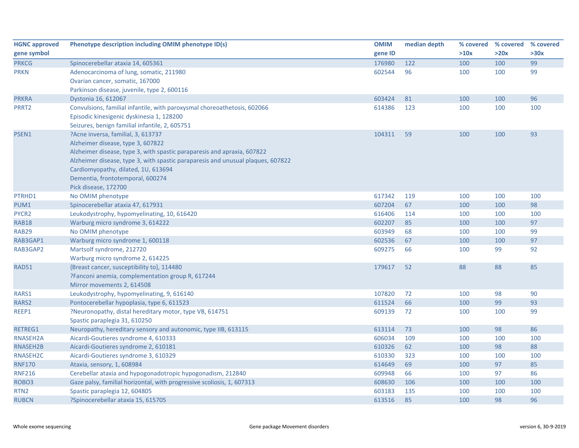| <b>HGNC approved</b> | Phenotype description including OMIM phenotype ID(s)                            | <b>OMIM</b> | median depth | % covered | % covered % covered |      |
|----------------------|---------------------------------------------------------------------------------|-------------|--------------|-----------|---------------------|------|
| gene symbol          |                                                                                 | gene ID     |              | >10x      | >20x                | >30x |
| <b>PRKCG</b>         | Spinocerebellar ataxia 14, 605361                                               | 176980      | 122          | 100       | 100                 | 99   |
| <b>PRKN</b>          | Adenocarcinoma of lung, somatic, 211980                                         | 602544      | 96           | 100       | 100                 | 99   |
|                      | Ovarian cancer, somatic, 167000                                                 |             |              |           |                     |      |
|                      | Parkinson disease, juvenile, type 2, 600116                                     |             |              |           |                     |      |
| <b>PRKRA</b>         | Dystonia 16, 612067                                                             | 603424      | 81           | 100       | 100                 | 96   |
| PRRT2                | Convulsions, familial infantile, with paroxysmal choreoathetosis, 602066        | 614386      | 123          | 100       | 100                 | 100  |
|                      | Episodic kinesigenic dyskinesia 1, 128200                                       |             |              |           |                     |      |
|                      | Seizures, benign familial infantile, 2, 605751                                  |             |              |           |                     |      |
| PSEN1                | ?Acne inversa, familial, 3, 613737                                              | 104311      | 59           | 100       | 100                 | 93   |
|                      | Alzheimer disease, type 3, 607822                                               |             |              |           |                     |      |
|                      | Alzheimer disease, type 3, with spastic paraparesis and apraxia, 607822         |             |              |           |                     |      |
|                      | Alzheimer disease, type 3, with spastic paraparesis and unusual plaques, 607822 |             |              |           |                     |      |
|                      | Cardiomyopathy, dilated, 1U, 613694                                             |             |              |           |                     |      |
|                      | Dementia, frontotemporal, 600274                                                |             |              |           |                     |      |
|                      | Pick disease, 172700                                                            |             |              |           |                     |      |
| PTRHD1               | No OMIM phenotype                                                               | 617342      | 119          | 100       | 100                 | 100  |
| PUM1                 | Spinocerebellar ataxia 47, 617931                                               | 607204      | 67           | 100       | 100                 | 98   |
| PYCR2                | Leukodystrophy, hypomyelinating, 10, 616420                                     | 616406      | 114          | 100       | 100                 | 100  |
| <b>RAB18</b>         | Warburg micro syndrome 3, 614222                                                | 602207      | 85           | 100       | 100                 | 97   |
| <b>RAB29</b>         | No OMIM phenotype                                                               | 603949      | 68           | 100       | 100                 | 99   |
| RAB3GAP1             | Warburg micro syndrome 1, 600118                                                | 602536      | 67           | 100       | 100                 | 97   |
| RAB3GAP2             | Martsolf syndrome, 212720                                                       | 609275      | 66           | 100       | 99                  | 92   |
|                      | Warburg micro syndrome 2, 614225                                                |             |              |           |                     |      |
| <b>RAD51</b>         | {Breast cancer, susceptibility to}, 114480                                      | 179617      | 52           | 88        | 88                  | 85   |
|                      | ?Fanconi anemia, complementation group R, 617244                                |             |              |           |                     |      |
|                      | Mirror movements 2, 614508                                                      |             |              |           |                     |      |
| RARS1                | Leukodystrophy, hypomyelinating, 9, 616140                                      | 107820      | 72           | 100       | 98                  | 90   |
| RARS2                | Pontocerebellar hypoplasia, type 6, 611523                                      | 611524      | 66           | 100       | 99                  | 93   |
| REEP1                | ?Neuronopathy, distal hereditary motor, type VB, 614751                         | 609139      | 72           | 100       | 100                 | 99   |
|                      | Spastic paraplegia 31, 610250                                                   |             |              |           |                     |      |
| RETREG1              | Neuropathy, hereditary sensory and autonomic, type IIB, 613115                  | 613114      | 73           | 100       | 98                  | 86   |
| RNASEH2A             | Aicardi-Goutieres syndrome 4, 610333                                            | 606034      | 109          | 100       | 100                 | 100  |
| RNASEH2B             | Aicardi-Goutieres syndrome 2, 610181                                            | 610326      | 62           | 100       | 98                  | 88   |
| RNASEH2C             | Aicardi-Goutieres syndrome 3, 610329                                            | 610330      | 323          | 100       | 100                 | 100  |
| <b>RNF170</b>        | Ataxia, sensory, 1, 608984                                                      | 614649      | 69           | 100       | 97                  | 85   |
| <b>RNF216</b>        | Cerebellar ataxia and hypogonadotropic hypogonadism, 212840                     | 609948      | 66           | 100       | 97                  | 86   |
| ROBO <sub>3</sub>    | Gaze palsy, familial horizontal, with progressive scoliosis, 1, 607313          | 608630      | 106          | 100       | 100                 | 100  |
| RTN <sub>2</sub>     | Spastic paraplegia 12, 604805                                                   | 603183      | 135          | 100       | 100                 | 100  |
| <b>RUBCN</b>         | ?Spinocerebellar ataxia 15, 615705                                              | 613516      | 85           | 100       | 98                  | 96   |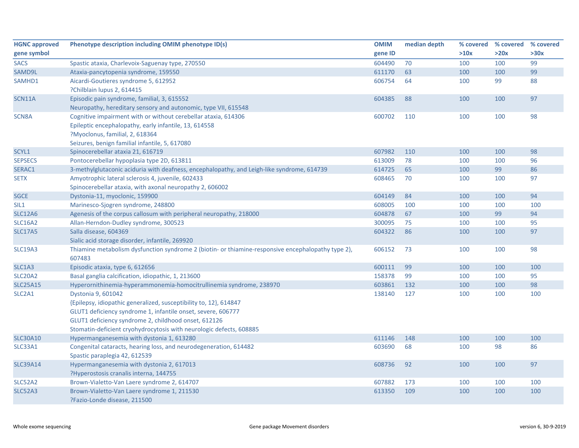| <b>HGNC approved</b> | Phenotype description including OMIM phenotype ID(s)                                               | <b>OMIM</b> | median depth |      | % covered % covered | % covered |
|----------------------|----------------------------------------------------------------------------------------------------|-------------|--------------|------|---------------------|-----------|
| gene symbol          |                                                                                                    | gene ID     |              | >10x | >20x                | >30x      |
| <b>SACS</b>          | Spastic ataxia, Charlevoix-Saguenay type, 270550                                                   | 604490      | 70           | 100  | 100                 | 99        |
| SAMD9L               | Ataxia-pancytopenia syndrome, 159550                                                               | 611170      | 63           | 100  | 100                 | 99        |
| SAMHD1               | Aicardi-Goutieres syndrome 5, 612952                                                               | 606754      | 64           | 100  | 99                  | 88        |
|                      | ?Chilblain lupus 2, 614415                                                                         |             |              |      |                     |           |
| SCN11A               | Episodic pain syndrome, familial, 3, 615552                                                        | 604385      | 88           | 100  | 100                 | 97        |
|                      | Neuropathy, hereditary sensory and autonomic, type VII, 615548                                     |             |              |      |                     |           |
| SCN8A                | Cognitive impairment with or without cerebellar ataxia, 614306                                     | 600702      | 110          | 100  | 100                 | 98        |
|                      | Epileptic encephalopathy, early infantile, 13, 614558                                              |             |              |      |                     |           |
|                      | ?Myoclonus, familial, 2, 618364                                                                    |             |              |      |                     |           |
|                      | Seizures, benign familial infantile, 5, 617080                                                     |             |              |      |                     |           |
| SCYL1                | Spinocerebellar ataxia 21, 616719                                                                  | 607982      | 110          | 100  | 100                 | 98        |
| <b>SEPSECS</b>       | Pontocerebellar hypoplasia type 2D, 613811                                                         | 613009      | 78           | 100  | 100                 | 96        |
| SERAC1               | 3-methylglutaconic aciduria with deafness, encephalopathy, and Leigh-like syndrome, 614739         | 614725      | 65           | 100  | 99                  | 86        |
| <b>SETX</b>          | Amyotrophic lateral sclerosis 4, juvenile, 602433                                                  | 608465      | 70           | 100  | 100                 | 97        |
|                      | Spinocerebellar ataxia, with axonal neuropathy 2, 606002                                           |             |              |      |                     |           |
| <b>SGCE</b>          | Dystonia-11, myoclonic, 159900                                                                     | 604149      | 84           | 100  | 100                 | 94        |
| SIL <sub>1</sub>     | Marinesco-Sjogren syndrome, 248800                                                                 | 608005      | 100          | 100  | 100                 | 100       |
| <b>SLC12A6</b>       | Agenesis of the corpus callosum with peripheral neuropathy, 218000                                 | 604878      | 67           | 100  | 99                  | 94        |
| <b>SLC16A2</b>       | Allan-Herndon-Dudley syndrome, 300523                                                              | 300095      | 75           | 100  | 100                 | 95        |
| <b>SLC17A5</b>       | Salla disease, 604369                                                                              | 604322      | 86           | 100  | 100                 | 97        |
|                      | Sialic acid storage disorder, infantile, 269920                                                    |             |              |      |                     |           |
| SLC19A3              | Thiamine metabolism dysfunction syndrome 2 (biotin- or thiamine-responsive encephalopathy type 2), | 606152      | 73           | 100  | 100                 | 98        |
|                      | 607483                                                                                             |             |              |      |                     |           |
| SLC1A3               | Episodic ataxia, type 6, 612656                                                                    | 600111      | 99           | 100  | 100                 | 100       |
| <b>SLC20A2</b>       | Basal ganglia calcification, idiopathic, 1, 213600                                                 | 158378      | 99           | 100  | 100                 | 95        |
| <b>SLC25A15</b>      | Hyperornithinemia-hyperammonemia-homocitrullinemia syndrome, 238970                                | 603861      | 132          | 100  | 100                 | 98        |
| SLC2A1               | Dystonia 9, 601042                                                                                 | 138140      | 127          | 100  | 100                 | 100       |
|                      | {Epilepsy, idiopathic generalized, susceptibility to, 12}, 614847                                  |             |              |      |                     |           |
|                      | GLUT1 deficiency syndrome 1, infantile onset, severe, 606777                                       |             |              |      |                     |           |
|                      | GLUT1 deficiency syndrome 2, childhood onset, 612126                                               |             |              |      |                     |           |
|                      | Stomatin-deficient cryohydrocytosis with neurologic defects, 608885                                |             |              |      |                     |           |
| <b>SLC30A10</b>      | Hypermanganesemia with dystonia 1, 613280                                                          | 611146      | 148          | 100  | 100                 | 100       |
| SLC33A1              | Congenital cataracts, hearing loss, and neurodegeneration, 614482                                  | 603690      | 68           | 100  | 98                  | 86        |
|                      | Spastic paraplegia 42, 612539                                                                      |             |              |      |                     |           |
| <b>SLC39A14</b>      | Hypermanganesemia with dystonia 2, 617013                                                          | 608736      | 92           | 100  | 100                 | 97        |
|                      | ?Hyperostosis cranalis interna, 144755                                                             |             |              |      |                     |           |
| <b>SLC52A2</b>       | Brown-Vialetto-Van Laere syndrome 2, 614707                                                        | 607882      | 173          | 100  | 100                 | 100       |
| <b>SLC52A3</b>       | Brown-Vialetto-Van Laere syndrome 1, 211530                                                        | 613350      | 109          | 100  | 100                 | 100       |
|                      | ?Fazio-Londe disease, 211500                                                                       |             |              |      |                     |           |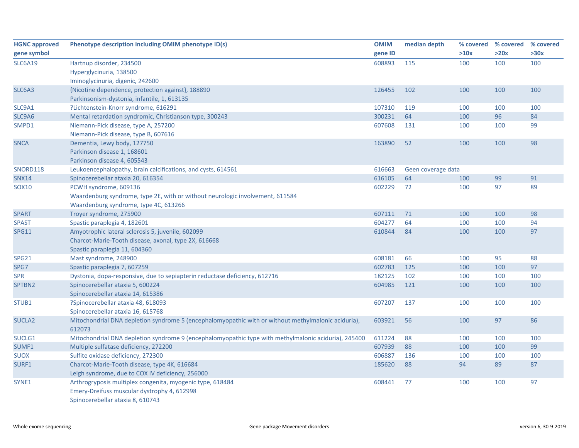| <b>HGNC approved</b> | Phenotype description including OMIM phenotype ID(s)                                                 | <b>OMIM</b> | median depth       | % covered | % covered % covered |      |
|----------------------|------------------------------------------------------------------------------------------------------|-------------|--------------------|-----------|---------------------|------|
| gene symbol          |                                                                                                      | gene ID     |                    | >10x      | >20x                | >30x |
| <b>SLC6A19</b>       | Hartnup disorder, 234500                                                                             | 608893      | 115                | 100       | 100                 | 100  |
|                      | Hyperglycinuria, 138500                                                                              |             |                    |           |                     |      |
|                      | Iminoglycinuria, digenic, 242600                                                                     |             |                    |           |                     |      |
| SLC6A3               | {Nicotine dependence, protection against}, 188890                                                    | 126455      | 102                | 100       | 100                 | 100  |
|                      | Parkinsonism-dystonia, infantile, 1, 613135                                                          |             |                    |           |                     |      |
| SLC9A1               | ?Lichtenstein-Knorr syndrome, 616291                                                                 | 107310      | 119                | 100       | 100                 | 100  |
| SLC9A6               | Mental retardation syndromic, Christianson type, 300243                                              | 300231      | 64                 | 100       | 96                  | 84   |
| SMPD1                | Niemann-Pick disease, type A, 257200                                                                 | 607608      | 131                | 100       | 100                 | 99   |
|                      | Niemann-Pick disease, type B, 607616                                                                 |             |                    |           |                     |      |
| <b>SNCA</b>          | Dementia, Lewy body, 127750                                                                          | 163890      | 52                 | 100       | 100                 | 98   |
|                      | Parkinson disease 1, 168601                                                                          |             |                    |           |                     |      |
|                      | Parkinson disease 4, 605543                                                                          |             |                    |           |                     |      |
| <b>SNORD118</b>      | Leukoencephalopathy, brain calcifications, and cysts, 614561                                         | 616663      | Geen coverage data |           |                     |      |
| <b>SNX14</b>         | Spinocerebellar ataxia 20, 616354                                                                    | 616105      | 64                 | 100       | 99                  | 91   |
| SOX10                | PCWH syndrome, 609136                                                                                | 602229      | 72                 | 100       | 97                  | 89   |
|                      | Waardenburg syndrome, type 2E, with or without neurologic involvement, 611584                        |             |                    |           |                     |      |
|                      | Waardenburg syndrome, type 4C, 613266                                                                |             |                    |           |                     |      |
| <b>SPART</b>         | Troyer syndrome, 275900                                                                              | 607111      | 71                 | 100       | 100                 | 98   |
| <b>SPAST</b>         | Spastic paraplegia 4, 182601                                                                         | 604277      | 64                 | 100       | 100                 | 94   |
| <b>SPG11</b>         | Amyotrophic lateral sclerosis 5, juvenile, 602099                                                    | 610844      | 84                 | 100       | 100                 | 97   |
|                      | Charcot-Marie-Tooth disease, axonal, type 2X, 616668                                                 |             |                    |           |                     |      |
|                      | Spastic paraplegia 11, 604360                                                                        |             |                    |           |                     |      |
| <b>SPG21</b>         | Mast syndrome, 248900                                                                                | 608181      | 66                 | 100       | 95                  | 88   |
| SPG7                 | Spastic paraplegia 7, 607259                                                                         | 602783      | 125                | 100       | 100                 | 97   |
| <b>SPR</b>           | Dystonia, dopa-responsive, due to sepiapterin reductase deficiency, 612716                           | 182125      | 102                | 100       | 100                 | 100  |
| SPTBN2               | Spinocerebellar ataxia 5, 600224                                                                     | 604985      | 121                | 100       | 100                 | 100  |
|                      | Spinocerebellar ataxia 14, 615386                                                                    |             |                    |           |                     |      |
| STUB1                | ?Spinocerebellar ataxia 48, 618093                                                                   | 607207      | 137                | 100       | 100                 | 100  |
|                      | Spinocerebellar ataxia 16, 615768                                                                    |             |                    |           |                     |      |
| SUCLA <sub>2</sub>   | Mitochondrial DNA depletion syndrome 5 (encephalomyopathic with or without methylmalonic aciduria),  | 603921      | 56                 | 100       | 97                  | 86   |
|                      | 612073                                                                                               |             |                    |           |                     |      |
| SUCLG1               | Mitochondrial DNA depletion syndrome 9 (encephalomyopathic type with methylmalonic aciduria), 245400 | 611224      | 88                 | 100       | 100                 | 100  |
| SUMF1                | Multiple sulfatase deficiency, 272200                                                                | 607939      | 88                 | 100       | 100                 | 99   |
| <b>SUOX</b>          | Sulfite oxidase deficiency, 272300                                                                   | 606887      | 136                | 100       | 100                 | 100  |
| SURF1                | Charcot-Marie-Tooth disease, type 4K, 616684                                                         | 185620      | 88                 | 94        | 89                  | 87   |
|                      | Leigh syndrome, due to COX IV deficiency, 256000                                                     |             |                    |           |                     |      |
| SYNE1                | Arthrogryposis multiplex congenita, myogenic type, 618484                                            | 608441      | 77                 | 100       | 100                 | 97   |
|                      | Emery-Dreifuss muscular dystrophy 4, 612998                                                          |             |                    |           |                     |      |
|                      | Spinocerebellar ataxia 8, 610743                                                                     |             |                    |           |                     |      |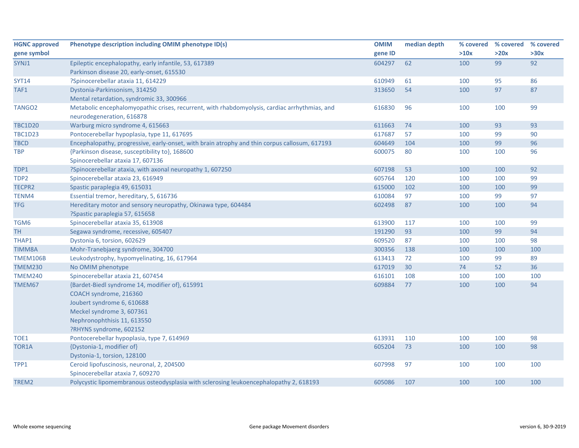| <b>HGNC approved</b> | Phenotype description including OMIM phenotype ID(s)                                                                                 | <b>OMIM</b> | median depth |      | % covered % covered | % covered |
|----------------------|--------------------------------------------------------------------------------------------------------------------------------------|-------------|--------------|------|---------------------|-----------|
| gene symbol          |                                                                                                                                      | gene ID     |              | >10x | >20x                | >30x      |
| SYNJ1                | Epileptic encephalopathy, early infantile, 53, 617389                                                                                | 604297      | 62           | 100  | 99                  | 92        |
|                      | Parkinson disease 20, early-onset, 615530                                                                                            |             |              |      |                     |           |
| <b>SYT14</b>         | ?Spinocerebellar ataxia 11, 614229                                                                                                   | 610949      | 61           | 100  | 95                  | 86        |
| TAF1                 | Dystonia-Parkinsonism, 314250                                                                                                        | 313650      | 54           | 100  | 97                  | 87        |
|                      | Mental retardation, syndromic 33, 300966                                                                                             |             |              |      |                     |           |
| TANGO <sub>2</sub>   | Metabolic encephalomyopathic crises, recurrent, with rhabdomyolysis, cardiac arrhythmias, and<br>neurodegeneration, 616878           | 616830      | 96           | 100  | 100                 | 99        |
| <b>TBC1D20</b>       | Warburg micro syndrome 4, 615663                                                                                                     | 611663      | 74           | 100  | 93                  | 93        |
| <b>TBC1D23</b>       | Pontocerebellar hypoplasia, type 11, 617695                                                                                          | 617687      | 57           | 100  | 99                  | 90        |
| <b>TBCD</b>          | Encephalopathy, progressive, early-onset, with brain atrophy and thin corpus callosum, 617193                                        | 604649      | 104          | 100  | 99                  | 96        |
| <b>TBP</b>           | {Parkinson disease, susceptibility to}, 168600                                                                                       | 600075      | 80           | 100  | 100                 | 96        |
|                      | Spinocerebellar ataxia 17, 607136                                                                                                    |             |              |      |                     |           |
| TDP1                 | ?Spinocerebellar ataxia, with axonal neuropathy 1, 607250                                                                            | 607198      | 53           | 100  | 100                 | 92        |
| TDP <sub>2</sub>     | Spinocerebellar ataxia 23, 616949                                                                                                    | 605764      | 120          | 100  | 100                 | 99        |
| TECPR2               | Spastic paraplegia 49, 615031                                                                                                        | 615000      | 102          | 100  | 100                 | 99        |
| TENM4                | Essential tremor, hereditary, 5, 616736                                                                                              | 610084      | 97           | 100  | 99                  | 97        |
| <b>TFG</b>           | Hereditary motor and sensory neuropathy, Okinawa type, 604484                                                                        | 602498      | 87           | 100  | 100                 | 94        |
|                      | ?Spastic paraplegia 57, 615658                                                                                                       |             |              |      |                     |           |
| TGM6                 | Spinocerebellar ataxia 35, 613908                                                                                                    | 613900      | 117          | 100  | 100                 | 99        |
| <b>TH</b>            | Segawa syndrome, recessive, 605407                                                                                                   | 191290      | 93           | 100  | 99                  | 94        |
| THAP1                | Dystonia 6, torsion, 602629                                                                                                          | 609520      | 87           | 100  | 100                 | 98        |
| <b>TIMM8A</b>        | Mohr-Tranebjaerg syndrome, 304700                                                                                                    | 300356      | 138          | 100  | 100                 | 100       |
| TMEM106B             | Leukodystrophy, hypomyelinating, 16, 617964                                                                                          | 613413      | 72           | 100  | 99                  | 89        |
| <b>TMEM230</b>       | No OMIM phenotype                                                                                                                    | 617019      | 30           | 74   | 52                  | 36        |
| <b>TMEM240</b>       | Spinocerebellar ataxia 21, 607454                                                                                                    | 616101      | 108          | 100  | 100                 | 100       |
| TMEM67               | {Bardet-Biedl syndrome 14, modifier of}, 615991<br>COACH syndrome, 216360<br>Joubert syndrome 6, 610688<br>Meckel syndrome 3, 607361 | 609884      | 77           | 100  | 100                 | 94        |
|                      | Nephronophthisis 11, 613550                                                                                                          |             |              |      |                     |           |
|                      | ?RHYNS syndrome, 602152                                                                                                              |             |              |      |                     |           |
| TOE1                 | Pontocerebellar hypoplasia, type 7, 614969                                                                                           | 613931      | 110          | 100  | 100                 | 98        |
| TOR1A                | {Dystonia-1, modifier of}                                                                                                            | 605204      | 73           | 100  | 100                 | 98        |
|                      | Dystonia-1, torsion, 128100                                                                                                          |             |              |      |                     |           |
| TPP1                 | Ceroid lipofuscinosis, neuronal, 2, 204500                                                                                           | 607998      | 97           | 100  | 100                 | 100       |
|                      | Spinocerebellar ataxia 7, 609270                                                                                                     |             |              |      |                     |           |
| TREM2                | Polycystic lipomembranous osteodysplasia with sclerosing leukoencephalopathy 2, 618193                                               | 605086      | 107          | 100  | 100                 | 100       |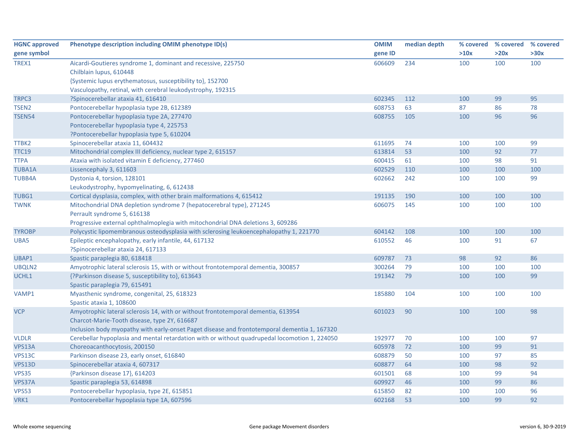| <b>HGNC approved</b> | Phenotype description including OMIM phenotype ID(s)                                          | <b>OMIM</b> | median depth |      | % covered % covered | % covered |
|----------------------|-----------------------------------------------------------------------------------------------|-------------|--------------|------|---------------------|-----------|
| gene symbol          |                                                                                               | gene ID     |              | >10x | >20x                | >30x      |
| TREX1                | Aicardi-Goutieres syndrome 1, dominant and recessive, 225750<br>Chilblain lupus, 610448       | 606609      | 234          | 100  | 100                 | 100       |
|                      | {Systemic lupus erythematosus, susceptibility to}, 152700                                     |             |              |      |                     |           |
|                      | Vasculopathy, retinal, with cerebral leukodystrophy, 192315                                   |             |              |      |                     |           |
| TRPC3                | ?Spinocerebellar ataxia 41, 616410                                                            | 602345      | 112          | 100  | 99                  | 95        |
| TSEN <sub>2</sub>    | Pontocerebellar hypoplasia type 2B, 612389                                                    | 608753      | 63           | 87   | 86                  | 78        |
| <b>TSEN54</b>        | Pontocerebellar hypoplasia type 2A, 277470                                                    | 608755      | 105          | 100  | 96                  | 96        |
|                      | Pontocerebellar hypoplasia type 4, 225753                                                     |             |              |      |                     |           |
|                      | ?Pontocerebellar hypoplasia type 5, 610204                                                    |             |              |      |                     |           |
| TTBK2                | Spinocerebellar ataxia 11, 604432                                                             | 611695      | 74           | 100  | 100                 | 99        |
| <b>TTC19</b>         | Mitochondrial complex III deficiency, nuclear type 2, 615157                                  | 613814      | 53           | 100  | 92                  | 77        |
| <b>TTPA</b>          | Ataxia with isolated vitamin E deficiency, 277460                                             | 600415      | 61           | 100  | 98                  | 91        |
| <b>TUBA1A</b>        | Lissencephaly 3, 611603                                                                       | 602529      | 110          | 100  | 100                 | 100       |
| <b>TUBB4A</b>        | Dystonia 4, torsion, 128101                                                                   | 602662      | 242          | 100  | 100                 | 99        |
|                      | Leukodystrophy, hypomyelinating, 6, 612438                                                    |             |              |      |                     |           |
| TUBG1                | Cortical dysplasia, complex, with other brain malformations 4, 615412                         | 191135      | 190          | 100  | 100                 | 100       |
| <b>TWNK</b>          | Mitochondrial DNA depletion syndrome 7 (hepatocerebral type), 271245                          | 606075      | 145          | 100  | 100                 | 100       |
|                      | Perrault syndrome 5, 616138                                                                   |             |              |      |                     |           |
|                      | Progressive external ophthalmoplegia with mitochondrial DNA deletions 3, 609286               |             |              |      |                     |           |
| <b>TYROBP</b>        | Polycystic lipomembranous osteodysplasia with sclerosing leukoencephalopathy 1, 221770        | 604142      | 108          | 100  | 100                 | 100       |
| UBA5                 | Epileptic encephalopathy, early infantile, 44, 617132                                         | 610552      | 46           | 100  | 91                  | 67        |
|                      | ?Spinocerebellar ataxia 24, 617133                                                            |             |              |      |                     |           |
| UBAP1                | Spastic paraplegia 80, 618418                                                                 | 609787      | 73           | 98   | 92                  | 86        |
| UBQLN2               | Amyotrophic lateral sclerosis 15, with or without frontotemporal dementia, 300857             | 300264      | 79           | 100  | 100                 | 100       |
| UCHL1                | {?Parkinson disease 5, susceptibility to}, 613643                                             | 191342      | 79           | 100  | 100                 | 99        |
|                      | Spastic paraplegia 79, 615491                                                                 |             |              |      |                     |           |
| VAMP1                | Myasthenic syndrome, congenital, 25, 618323                                                   | 185880      | 104          | 100  | 100                 | 100       |
|                      | Spastic ataxia 1, 108600                                                                      |             |              |      |                     |           |
| <b>VCP</b>           | Amyotrophic lateral sclerosis 14, with or without frontotemporal dementia, 613954             | 601023      | 90           | 100  | 100                 | 98        |
|                      | Charcot-Marie-Tooth disease, type 2Y, 616687                                                  |             |              |      |                     |           |
|                      | Inclusion body myopathy with early-onset Paget disease and frontotemporal dementia 1, 167320  |             |              |      |                     |           |
| <b>VLDLR</b>         | Cerebellar hypoplasia and mental retardation with or without quadrupedal locomotion 1, 224050 | 192977      | 70           | 100  | 100                 | 97        |
| VPS13A               | Choreoacanthocytosis, 200150                                                                  | 605978      | 72           | 100  | 99                  | 91        |
| VPS13C               | Parkinson disease 23, early onset, 616840                                                     | 608879      | 50           | 100  | 97                  | 85        |
| <b>VPS13D</b>        | Spinocerebellar ataxia 4, 607317                                                              | 608877      | 64           | 100  | 98                  | 92        |
| <b>VPS35</b>         | {Parkinson disease 17}, 614203                                                                | 601501      | 68           | 100  | 99                  | 94        |
| VPS37A               | Spastic paraplegia 53, 614898                                                                 | 609927      | 46           | 100  | 99                  | 86        |
| <b>VPS53</b>         | Pontocerebellar hypoplasia, type 2E, 615851                                                   | 615850      | 82           | 100  | 100                 | 96        |
| VRK1                 | Pontocerebellar hypoplasia type 1A, 607596                                                    | 602168      | 53           | 100  | 99                  | 92        |